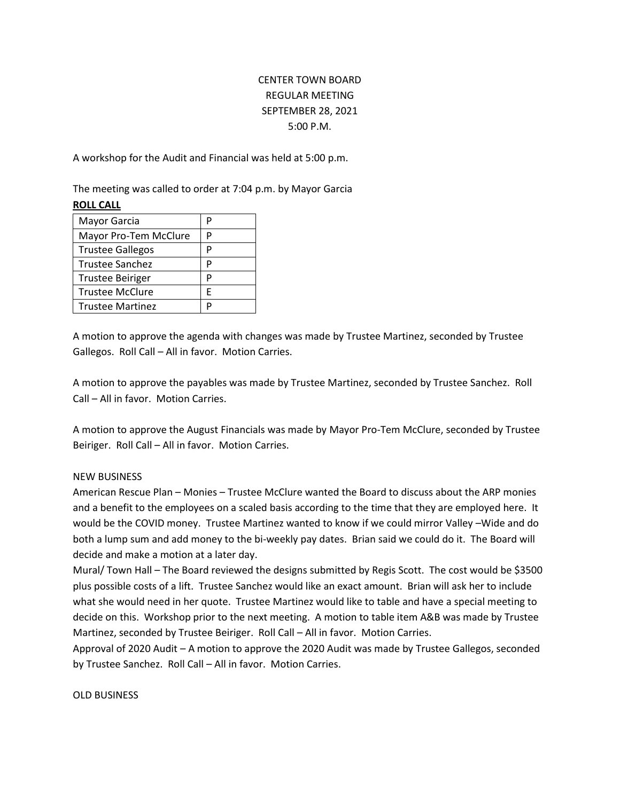## CENTER TOWN BOARD REGULAR MEETING SEPTEMBER 28, 2021 5:00 P.M.

A workshop for the Audit and Financial was held at 5:00 p.m.

The meeting was called to order at 7:04 p.m. by Mayor Garcia

## **ROLL CALL**

| Mayor Garcia            |   |
|-------------------------|---|
| Mayor Pro-Tem McClure   | D |
| <b>Trustee Gallegos</b> | р |
| Trustee Sanchez         | P |
| <b>Trustee Beiriger</b> | P |
| <b>Trustee McClure</b>  | F |
| <b>Trustee Martinez</b> |   |

A motion to approve the agenda with changes was made by Trustee Martinez, seconded by Trustee Gallegos. Roll Call – All in favor. Motion Carries.

A motion to approve the payables was made by Trustee Martinez, seconded by Trustee Sanchez. Roll Call – All in favor. Motion Carries.

A motion to approve the August Financials was made by Mayor Pro-Tem McClure, seconded by Trustee Beiriger. Roll Call – All in favor. Motion Carries.

## NEW BUSINESS

American Rescue Plan – Monies – Trustee McClure wanted the Board to discuss about the ARP monies and a benefit to the employees on a scaled basis according to the time that they are employed here. It would be the COVID money. Trustee Martinez wanted to know if we could mirror Valley –Wide and do both a lump sum and add money to the bi-weekly pay dates. Brian said we could do it. The Board will decide and make a motion at a later day.

Mural/ Town Hall – The Board reviewed the designs submitted by Regis Scott. The cost would be \$3500 plus possible costs of a lift. Trustee Sanchez would like an exact amount. Brian will ask her to include what she would need in her quote. Trustee Martinez would like to table and have a special meeting to decide on this. Workshop prior to the next meeting. A motion to table item A&B was made by Trustee Martinez, seconded by Trustee Beiriger. Roll Call – All in favor. Motion Carries.

Approval of 2020 Audit – A motion to approve the 2020 Audit was made by Trustee Gallegos, seconded by Trustee Sanchez. Roll Call – All in favor. Motion Carries.

## OLD BUSINESS